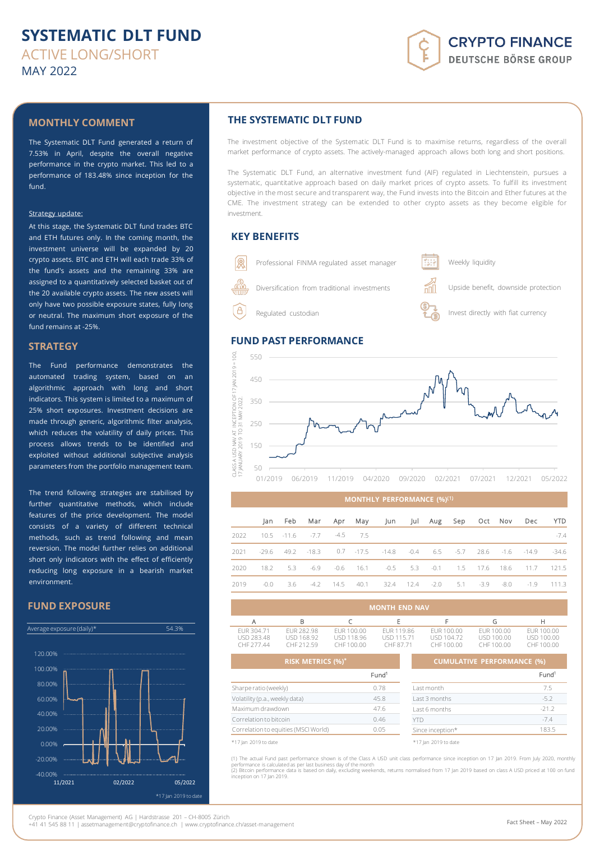# **SYSTEMATIC DLT FUND** ACTIVE LONG/SHORT MAY 2022

# **CRYPTO FINANCE DEUTSCHE BÖRSE GROUP**

### **MONTHLY COMMENT**

The Systematic DLT Fund generated a return of 7.53% in April, despite the overall negative performance in the crypto market. This led to a performance of 183.48% since inception for the fund.

#### Strategy update:

At this stage, the Systematic DLT fund trades BTC and ETH futures only. In the coming month, the investment universe will be expanded by 20 crypto assets. BTC and ETH will each trade 33% of the fund's assets and the remaining 33% are assigned to a quantitatively selected basket out of the 20 available crypto assets. The new assets will only have two possible exposure states, fully long or neutral. The maximum short exposure of the fund remains at -25%.

### **STRATEGY**

The Fund performance demonstrates the automated trading system, based on an algorithmic approach with long and short indicators. This system is limited to a maximum of 25% short exposures. Investment decisions are made through generic, algorithmic filter analysis, which reduces the volatility of daily prices. This process allows trends to be identified and exploited without additional subjective analysis parameters from the portfolio management team.

The trend following strategies are stabilised by further quantitative methods, which include features of the price development. The model consists of a variety of different technical methods, such as trend following and mean reversion. The model further relies on additional short only indicators with the effect of efficiently reducing long exposure in a bearish market environment.

### **FUND EXPOSURE**



## **THE SYSTEMATIC DLT FUND**

The investment objective of the Systematic DLT Fund is to maximise returns, regardless of the overall market performance of crypto assets. The actively-managed approach allows both long and short positions.

The Systematic DLT Fund, an alternative investment fund (AIF) regulated in Liechtenstein, pursues a systematic, quantitative approach based on daily market prices of crypto assets. To fulfill its investment objective in the most secure and transparent way, the Fund invests into the Bitcoin and Ether futures at the CME. The investment strategy can be extended to other crypto assets as they become eligible for investment.

### **KEY BENEFITS**



## **FUND PAST PERFORMANCE**



#### **MONTHLY PERFORMANCE (%)**(1)

|      |  |                                    |  | Jan Feb Mar Apr May Jun Jul Aug Sep Oct Nov Dec YTD                         |  |  |  |        |
|------|--|------------------------------------|--|-----------------------------------------------------------------------------|--|--|--|--------|
| 2022 |  | $10.5$ $-11.6$ $-7.7$ $-4.5$ $7.5$ |  |                                                                             |  |  |  | $-7.4$ |
|      |  |                                    |  | 2021 -29.6 49.2 -18.3 0.7 -17.5 -14.8 -0.4 6.5 -5.7 28.6 -1.6 -14.9 -34.6   |  |  |  |        |
| 2020 |  |                                    |  | 18.2 5.3 -6.9 -0.6 16.1 -0.5 5.3 -0.1 1.5 17.6 18.6 11.7 121.5              |  |  |  |        |
| 2019 |  |                                    |  | $-0.0$ 3.6 $-4.2$ 14.5 40.1 32.4 12.4 $-2.0$ 5.1 $-3.9$ $-8.0$ $-1.9$ 111.3 |  |  |  |        |

| <b>MONTH END NAV</b>                          |                                                                    |                                                                                |                   |                                        |                                                                             |                                       |  |
|-----------------------------------------------|--------------------------------------------------------------------|--------------------------------------------------------------------------------|-------------------|----------------------------------------|-----------------------------------------------------------------------------|---------------------------------------|--|
| А                                             | B                                                                  |                                                                                | F                 |                                        | G                                                                           | н                                     |  |
| EUR 304.71<br><b>USD 283.48</b><br>CHF 277.44 | EUR 282.98<br>USD 168.92<br>CHF 212.59<br><b>RISK METRICS (%)*</b> | EUR 119.86<br>EUR 100.00<br>USD 118.96<br>USD 115.71<br>CHE 100.00<br>CHF87.71 |                   | EUR 100.00<br>USD 104.72<br>CHF 100.00 | EUR 100.00<br>USD 100.00<br>CHF 100.00<br><b>CUMULATIVE PERFORMANCE (%)</b> | EUR 100.00<br>USD 100.00<br>CHE100.00 |  |
|                                               |                                                                    |                                                                                | Fund <sup>1</sup> |                                        |                                                                             | Fund <sup>1</sup>                     |  |
| Sharpe ratio (weekly)                         |                                                                    |                                                                                | 0.78              | Last month                             |                                                                             | 7.5                                   |  |
| Volatility (p.a., weekly data)                |                                                                    |                                                                                | 45.8              | Last 3 months                          |                                                                             |                                       |  |

| Volatility (p.a., weekly data)<br>45.8 |      | Last 3 months        | $-5.2$  |
|----------------------------------------|------|----------------------|---------|
| Maximum drawdown                       | 47.6 | Last 6 months        | $-21.2$ |
| Correlation to bitcoin                 | 0.46 |                      | $-7.4$  |
| Correlation to equities (MSCI World)   | 0.05 | Since inception*     | 183.5   |
| *17 Jan 2019 to date                   |      | *17 Jan 2019 to date |         |

(1) The actual Fund past performance shown is of the Class A USD unit class performance since inception on 17 Jan 2019. From July 2020, monthly performance is calculated as per last business day of the month<br>(2) Bitcoin performance data is based on daily, excluding weekends, returns normalised from 17 Jan 2019 based on class A USD priced at 100 on func inception on 17 Jan 2019.

Crypto Finance (Asset Management) AG | Hardstrasse 201 – CH-8005 Zürich

+41 41 545 88 11 | assetmanagement@cryptofinance.ch | www.cryptofinance.ch/asset-management